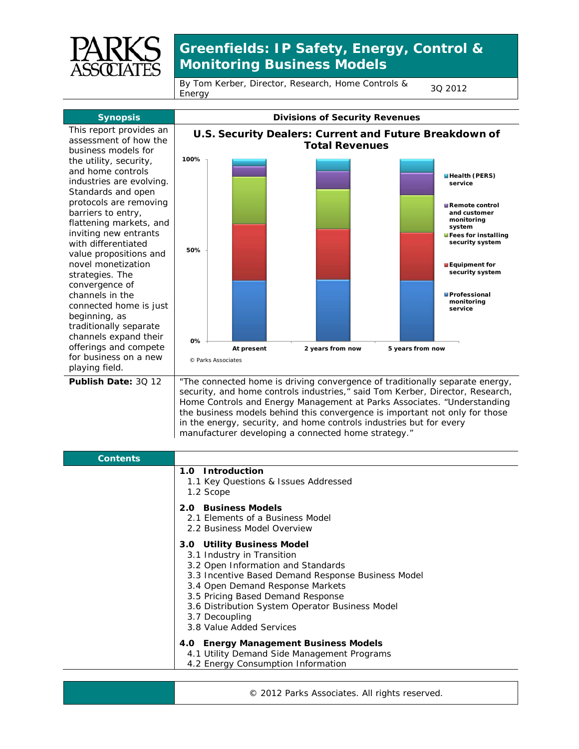

## **Greenfields: IP Safety, Energy, Control & Monitoring Business Models**

By Tom Kerber, Director, Research, Home Controls & <sub>3Q</sub> 2012<br>Energy



in the energy, security, and home controls industries but for every manufacturer developing a connected home strategy."

| <b>Contents</b> |                                                                                                                                                                                                                                                                                                                                |
|-----------------|--------------------------------------------------------------------------------------------------------------------------------------------------------------------------------------------------------------------------------------------------------------------------------------------------------------------------------|
|                 | 1.0 Introduction<br>1.1 Key Questions & Issues Addressed<br>1.2 Scope                                                                                                                                                                                                                                                          |
|                 | 2.0 Business Models<br>2.1 Elements of a Business Model<br>2.2 Business Model Overview                                                                                                                                                                                                                                         |
|                 | 3.0 Utility Business Model<br>3.1 Industry in Transition<br>3.2 Open Information and Standards<br>3.3 Incentive Based Demand Response Business Model<br>3.4 Open Demand Response Markets<br>3.5 Pricing Based Demand Response<br>3.6 Distribution System Operator Business Model<br>3.7 Decoupling<br>3.8 Value Added Services |
|                 | 4.0 Energy Management Business Models<br>4.1 Utility Demand Side Management Programs<br>4.2 Energy Consumption Information                                                                                                                                                                                                     |

© 2012 Parks Associates. All rights reserved.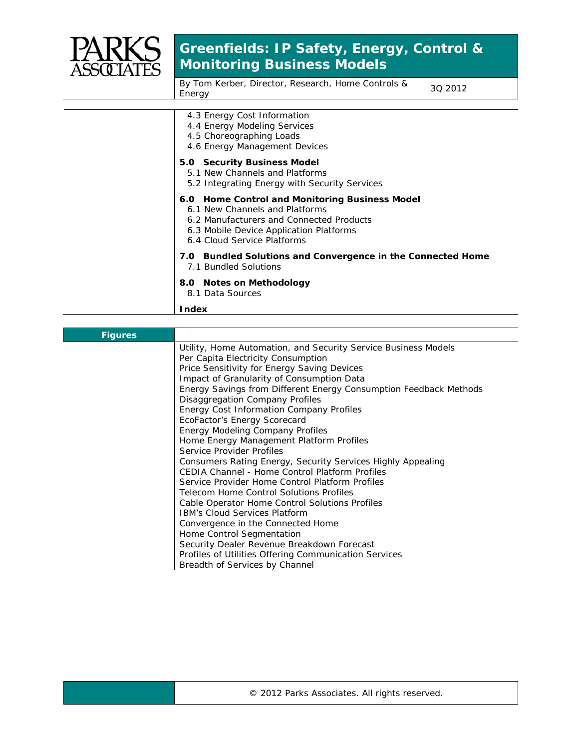

## **Greenfields: IP Safety, Energy, Control & Monitoring Business Models**

By Tom Kerber, Director, Research, Home Controls & <sub>3Q</sub> 2012<br>Energy

| 4.3 Energy Cost Information<br>4.4 Energy Modeling Services<br>4.5 Choreographing Loads<br>4.6 Energy Management Devices                                                                               |
|--------------------------------------------------------------------------------------------------------------------------------------------------------------------------------------------------------|
| 5.0 Security Business Model<br>5.1 New Channels and Platforms<br>5.2 Integrating Energy with Security Services                                                                                         |
| 6.0 Home Control and Monitoring Business Model<br>6.1 New Channels and Platforms<br>6.2 Manufacturers and Connected Products<br>6.3 Mobile Device Application Platforms<br>6.4 Cloud Service Platforms |
| 7.0 Bundled Solutions and Convergence in the Connected Home<br>7.1 Bundled Solutions                                                                                                                   |
| 8.0 Notes on Methodology<br>8.1 Data Sources                                                                                                                                                           |
| Index                                                                                                                                                                                                  |

| <b>Figures</b> |                                                                   |
|----------------|-------------------------------------------------------------------|
|                | Utility, Home Automation, and Security Service Business Models    |
|                | Per Capita Electricity Consumption                                |
|                | Price Sensitivity for Energy Saving Devices                       |
|                | Impact of Granularity of Consumption Data                         |
|                | Energy Savings from Different Energy Consumption Feedback Methods |
|                | Disaggregation Company Profiles                                   |
|                | Energy Cost Information Company Profiles                          |
|                | EcoFactor's Energy Scorecard                                      |
|                | Energy Modeling Company Profiles                                  |
|                | Home Energy Management Platform Profiles                          |
|                | Service Provider Profiles                                         |
|                | Consumers Rating Energy, Security Services Highly Appealing       |
|                | <b>CEDIA Channel - Home Control Platform Profiles</b>             |
|                | Service Provider Home Control Platform Profiles                   |
|                | Telecom Home Control Solutions Profiles                           |
|                | Cable Operator Home Control Solutions Profiles                    |
|                | <b>IBM's Cloud Services Platform</b>                              |
|                | Convergence in the Connected Home                                 |
|                | Home Control Segmentation                                         |
|                | Security Dealer Revenue Breakdown Forecast                        |
|                | Profiles of Utilities Offering Communication Services             |
|                | Breadth of Services by Channel                                    |